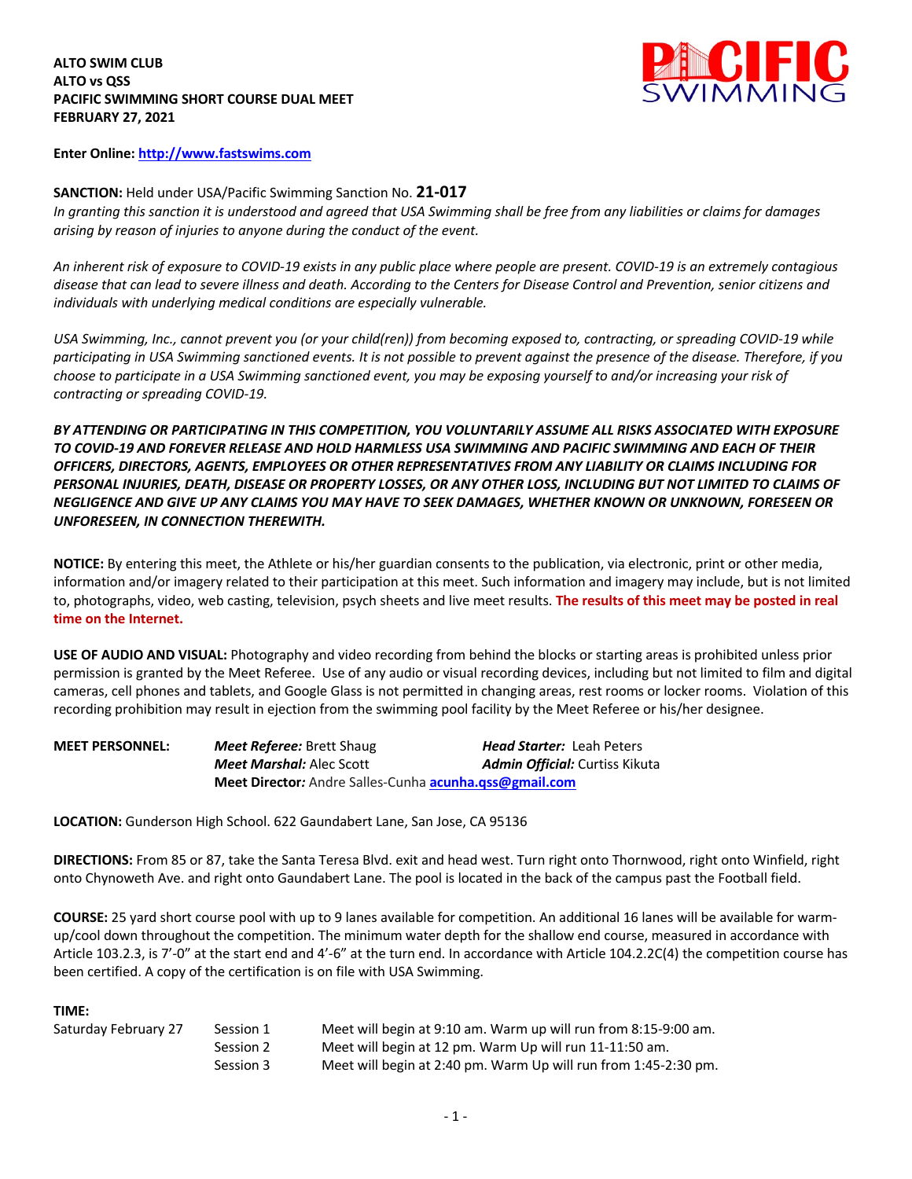#### **ALTO SWIM CLUB ALTO vs QSS PACIFIC SWIMMING SHORT COURSE DUAL MEET FEBRUARY 27, 2021**



**Enter Online: http://www.fastswims.com**

## **SANCTION:** Held under USA/Pacific Swimming Sanction No. **21-017**

*In granting this sanction it is understood and agreed that USA Swimming shall be free from any liabilities or claims for damages arising by reason of injuries to anyone during the conduct of the event.* 

*An inherent risk of exposure to COVID-19 exists in any public place where people are present. COVID-19 is an extremely contagious disease that can lead to severe illness and death. According to the Centers for Disease Control and Prevention, senior citizens and individuals with underlying medical conditions are especially vulnerable.*

*USA Swimming, Inc., cannot prevent you (or your child(ren)) from becoming exposed to, contracting, or spreading COVID-19 while participating in USA Swimming sanctioned events. It is not possible to prevent against the presence of the disease. Therefore, if you choose to participate in a USA Swimming sanctioned event, you may be exposing yourself to and/or increasing your risk of contracting or spreading COVID-19.*

*BY ATTENDING OR PARTICIPATING IN THIS COMPETITION, YOU VOLUNTARILY ASSUME ALL RISKS ASSOCIATED WITH EXPOSURE TO COVID-19 AND FOREVER RELEASE AND HOLD HARMLESS USA SWIMMING AND PACIFIC SWIMMING AND EACH OF THEIR OFFICERS, DIRECTORS, AGENTS, EMPLOYEES OR OTHER REPRESENTATIVES FROM ANY LIABILITY OR CLAIMS INCLUDING FOR PERSONAL INJURIES, DEATH, DISEASE OR PROPERTY LOSSES, OR ANY OTHER LOSS, INCLUDING BUT NOT LIMITED TO CLAIMS OF NEGLIGENCE AND GIVE UP ANY CLAIMS YOU MAY HAVE TO SEEK DAMAGES, WHETHER KNOWN OR UNKNOWN, FORESEEN OR UNFORESEEN, IN CONNECTION THEREWITH.*

**NOTICE:** By entering this meet, the Athlete or his/her guardian consents to the publication, via electronic, print or other media, information and/or imagery related to their participation at this meet. Such information and imagery may include, but is not limited to, photographs, video, web casting, television, psych sheets and live meet results. **The results of this meet may be posted in real time on the Internet.**

**USE OF AUDIO AND VISUAL:** Photography and video recording from behind the blocks or starting areas is prohibited unless prior permission is granted by the Meet Referee. Use of any audio or visual recording devices, including but not limited to film and digital cameras, cell phones and tablets, and Google Glass is not permitted in changing areas, rest rooms or locker rooms. Violation of this recording prohibition may result in ejection from the swimming pool facility by the Meet Referee or his/her designee.

| <b>MEET PERSONNEL:</b> | <b>Meet Referee:</b> Brett Shaug                                     | <b>Head Starter: Leah Peters</b> |  |  |  |  |  |
|------------------------|----------------------------------------------------------------------|----------------------------------|--|--|--|--|--|
|                        | <b>Meet Marshal:</b> Alec Scott                                      | Admin Official: Curtiss Kikuta   |  |  |  |  |  |
|                        | <b>Meet Director:</b> Andre Salles-Cunha <b>acunha.gss@gmail.com</b> |                                  |  |  |  |  |  |

**LOCATION:** Gunderson High School. 622 Gaundabert Lane, San Jose, CA 95136

**DIRECTIONS:** From 85 or 87, take the Santa Teresa Blvd. exit and head west. Turn right onto Thornwood, right onto Winfield, right onto Chynoweth Ave. and right onto Gaundabert Lane. The pool is located in the back of the campus past the Football field.

**COURSE:** 25 yard short course pool with up to 9 lanes available for competition. An additional 16 lanes will be available for warmup/cool down throughout the competition. The minimum water depth for the shallow end course, measured in accordance with Article 103.2.3, is 7'-0" at the start end and 4'-6" at the turn end. In accordance with Article 104.2.2C(4) the competition course has been certified. A copy of the certification is on file with USA Swimming.

### **TIME:**

| Saturday February 27 | Session 1 | Meet will begin at 9:10 am. Warm up will run from 8:15-9:00 am. |
|----------------------|-----------|-----------------------------------------------------------------|
|                      | Session 2 | Meet will begin at 12 pm. Warm Up will run 11-11:50 am.         |
|                      | Session 3 | Meet will begin at 2:40 pm. Warm Up will run from 1:45-2:30 pm. |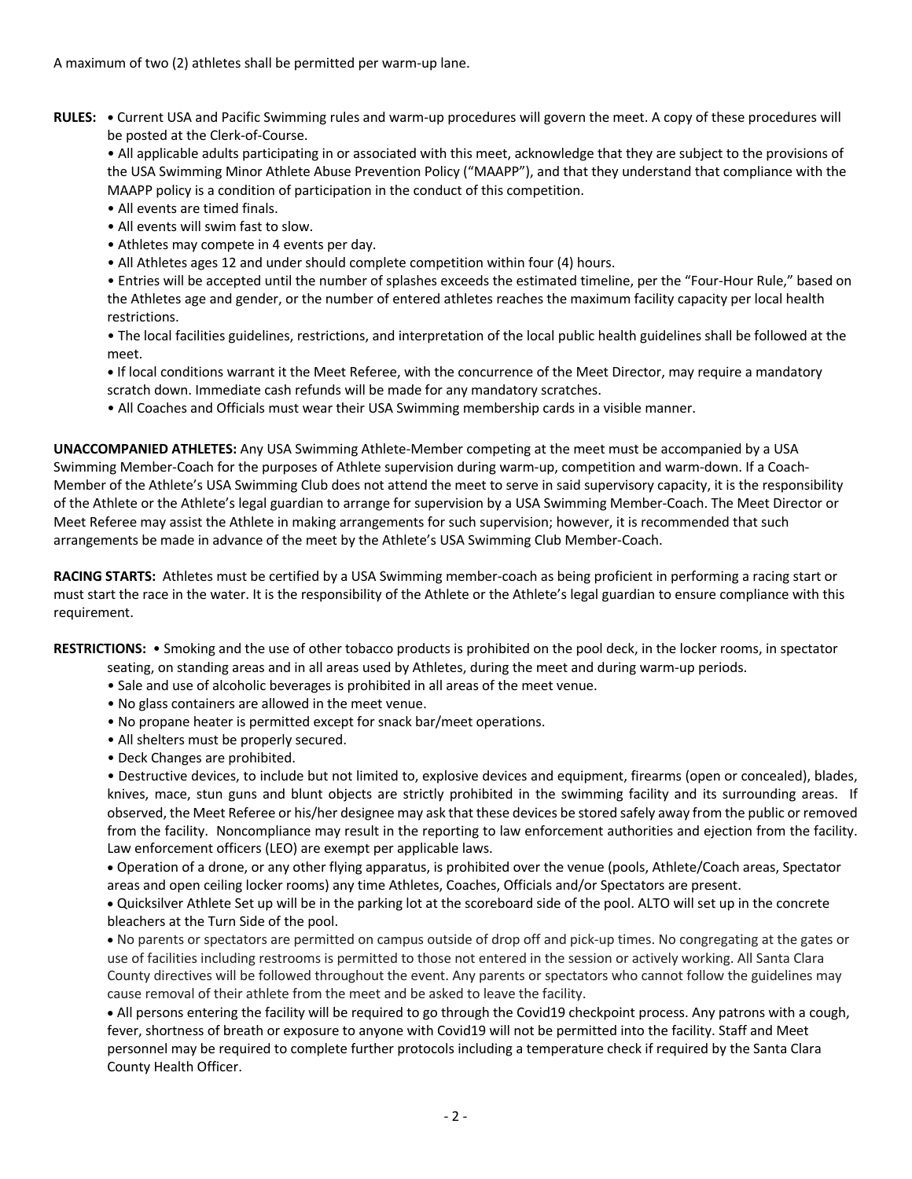A maximum of two (2) athletes shall be permitted per warm-up lane.

**RULES: •** Current USA and Pacific Swimming rules and warm-up procedures will govern the meet. A copy of these procedures will be posted at the Clerk-of-Course.

• All applicable adults participating in or associated with this meet, acknowledge that they are subject to the provisions of the USA Swimming Minor Athlete Abuse Prevention Policy ("MAAPP"), and that they understand that compliance with the MAAPP policy is a condition of participation in the conduct of this competition.

- All events are timed finals.
- All events will swim fast to slow.
- Athletes may compete in 4 events per day.
- All Athletes ages 12 and under should complete competition within four (4) hours.

• Entries will be accepted until the number of splashes exceeds the estimated timeline, per the "Four-Hour Rule," based on the Athletes age and gender, or the number of entered athletes reaches the maximum facility capacity per local health restrictions.

• The local facilities guidelines, restrictions, and interpretation of the local public health guidelines shall be followed at the meet.

**•** If local conditions warrant it the Meet Referee, with the concurrence of the Meet Director, may require a mandatory scratch down. Immediate cash refunds will be made for any mandatory scratches.

• All Coaches and Officials must wear their USA Swimming membership cards in a visible manner.

**UNACCOMPANIED ATHLETES:** Any USA Swimming Athlete-Member competing at the meet must be accompanied by a USA Swimming Member-Coach for the purposes of Athlete supervision during warm-up, competition and warm-down. If a Coach-Member of the Athlete's USA Swimming Club does not attend the meet to serve in said supervisory capacity, it is the responsibility of the Athlete or the Athlete's legal guardian to arrange for supervision by a USA Swimming Member-Coach. The Meet Director or Meet Referee may assist the Athlete in making arrangements for such supervision; however, it is recommended that such arrangements be made in advance of the meet by the Athlete's USA Swimming Club Member-Coach.

**RACING STARTS:** Athletes must be certified by a USA Swimming member-coach as being proficient in performing a racing start or must start the race in the water. It is the responsibility of the Athlete or the Athlete's legal guardian to ensure compliance with this requirement.

**RESTRICTIONS:** • Smoking and the use of other tobacco products is prohibited on the pool deck, in the locker rooms, in spectator

- seating, on standing areas and in all areas used by Athletes, during the meet and during warm-up periods.
- Sale and use of alcoholic beverages is prohibited in all areas of the meet venue.
- No glass containers are allowed in the meet venue.
- No propane heater is permitted except for snack bar/meet operations.
- All shelters must be properly secured.
- Deck Changes are prohibited.

• Destructive devices, to include but not limited to, explosive devices and equipment, firearms (open or concealed), blades, knives, mace, stun guns and blunt objects are strictly prohibited in the swimming facility and its surrounding areas. If observed, the Meet Referee or his/her designee may ask that these devices be stored safely away from the public or removed from the facility. Noncompliance may result in the reporting to law enforcement authorities and ejection from the facility. Law enforcement officers (LEO) are exempt per applicable laws.

• Operation of a drone, or any other flying apparatus, is prohibited over the venue (pools, Athlete/Coach areas, Spectator areas and open ceiling locker rooms) any time Athletes, Coaches, Officials and/or Spectators are present.

• Quicksilver Athlete Set up will be in the parking lot at the scoreboard side of the pool. ALTO will set up in the concrete bleachers at the Turn Side of the pool.

• No parents or spectators are permitted on campus outside of drop off and pick-up times. No congregating at the gates or use of facilities including restrooms is permitted to those not entered in the session or actively working. All Santa Clara County directives will be followed throughout the event. Any parents or spectators who cannot follow the guidelines may cause removal of their athlete from the meet and be asked to leave the facility.

• All persons entering the facility will be required to go through the Covid19 checkpoint process. Any patrons with a cough, fever, shortness of breath or exposure to anyone with Covid19 will not be permitted into the facility. Staff and Meet personnel may be required to complete further protocols including a temperature check if required by the Santa Clara County Health Officer.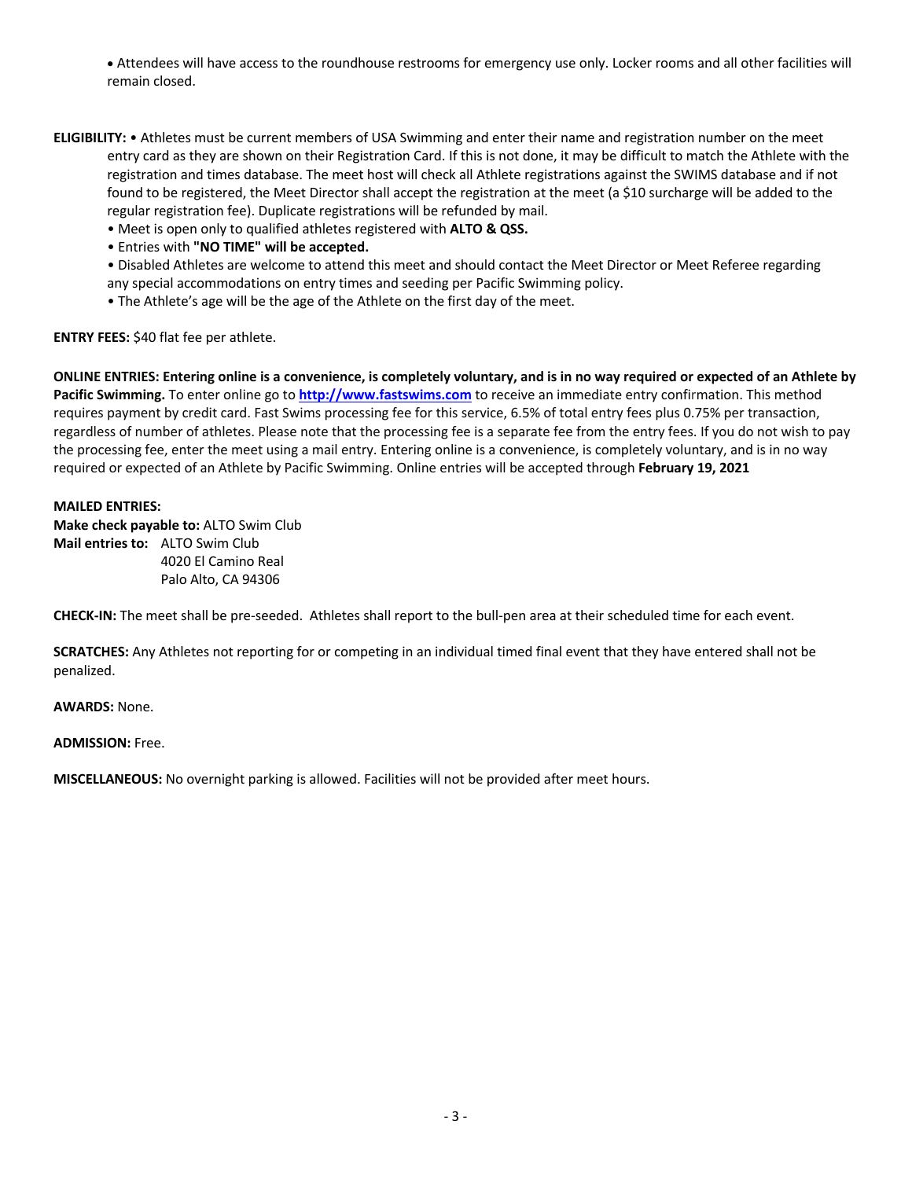• Attendees will have access to the roundhouse restrooms for emergency use only. Locker rooms and all other facilities will remain closed.

- **ELIGIBILITY:** Athletes must be current members of USA Swimming and enter their name and registration number on the meet entry card as they are shown on their Registration Card. If this is not done, it may be difficult to match the Athlete with the registration and times database. The meet host will check all Athlete registrations against the SWIMS database and if not found to be registered, the Meet Director shall accept the registration at the meet (a \$10 surcharge will be added to the regular registration fee). Duplicate registrations will be refunded by mail.
	- Meet is open only to qualified athletes registered with **ALTO & QSS.**
	- Entries with **"NO TIME" will be accepted.**

• Disabled Athletes are welcome to attend this meet and should contact the Meet Director or Meet Referee regarding any special accommodations on entry times and seeding per Pacific Swimming policy.

• The Athlete's age will be the age of the Athlete on the first day of the meet.

**ENTRY FEES:** \$40 flat fee per athlete.

**ONLINE ENTRIES: Entering online is a convenience, is completely voluntary, and is in no way required or expected of an Athlete by Pacific Swimming.** To enter online go to **http://www.fastswims.com** to receive an immediate entry confirmation. This method requires payment by credit card. Fast Swims processing fee for this service, 6.5% of total entry fees plus 0.75% per transaction, regardless of number of athletes. Please note that the processing fee is a separate fee from the entry fees. If you do not wish to pay the processing fee, enter the meet using a mail entry. Entering online is a convenience, is completely voluntary, and is in no way required or expected of an Athlete by Pacific Swimming. Online entries will be accepted through **February 19, 2021**

#### **MAILED ENTRIES:**

**Make check payable to:** ALTO Swim Club **Mail entries to:** ALTO Swim Club 4020 El Camino Real Palo Alto, CA 94306

**CHECK-IN:** The meet shall be pre-seeded. Athletes shall report to the bull-pen area at their scheduled time for each event.

**SCRATCHES:** Any Athletes not reporting for or competing in an individual timed final event that they have entered shall not be penalized.

**AWARDS:** None.

**ADMISSION:** Free.

**MISCELLANEOUS:** No overnight parking is allowed. Facilities will not be provided after meet hours.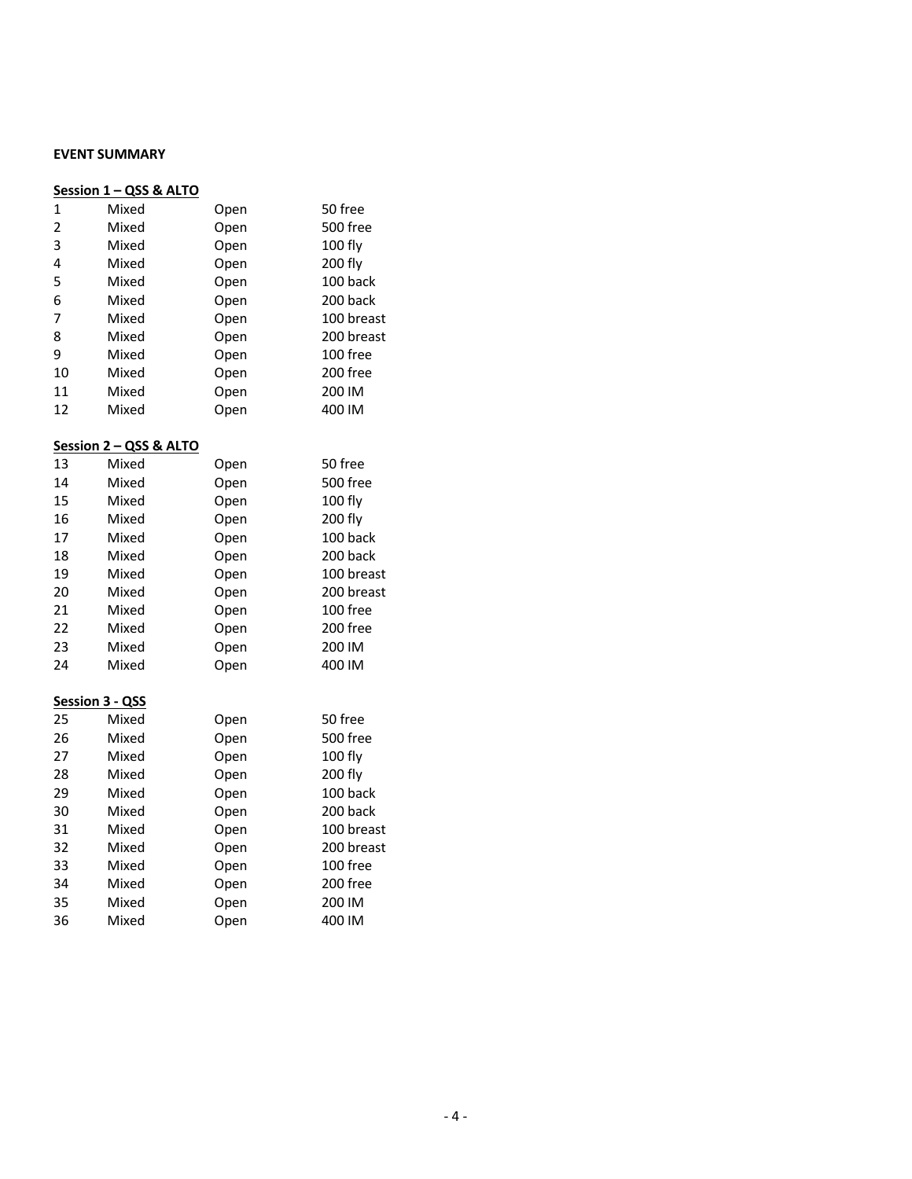# **EVENT SUMMARY**

| Session 1 - QSS & ALTO |                 |      |            |  |  |  |  |  |
|------------------------|-----------------|------|------------|--|--|--|--|--|
| 1                      | Mixed           | Open | 50 free    |  |  |  |  |  |
| $\overline{c}$         | Mixed           | Open | 500 free   |  |  |  |  |  |
| 3                      | Mixed           | Open | 100 fly    |  |  |  |  |  |
| 4                      | Mixed           | Open | 200 fly    |  |  |  |  |  |
| 5                      | Mixed           | Open | 100 back   |  |  |  |  |  |
| 6                      | Mixed           | Open | 200 back   |  |  |  |  |  |
| 7                      | Mixed           | Open | 100 breast |  |  |  |  |  |
| 8                      | Mixed           | Open | 200 breast |  |  |  |  |  |
| 9                      | Mixed           | Open | 100 free   |  |  |  |  |  |
| 10                     | Mixed           | Open | 200 free   |  |  |  |  |  |
| 11                     | Mixed           | Open | 200 IM     |  |  |  |  |  |
| 12                     | Mixed           | Open | 400 IM     |  |  |  |  |  |
| Session 2 - QSS & ALTO |                 |      |            |  |  |  |  |  |
| 13                     | Mixed           | Open | 50 free    |  |  |  |  |  |
| 14                     | Mixed           | Open | 500 free   |  |  |  |  |  |
| 15                     | Mixed           | Open | 100 fly    |  |  |  |  |  |
| 16                     | Mixed           | Open | 200 fly    |  |  |  |  |  |
| 17                     | Mixed           | Open | 100 back   |  |  |  |  |  |
| 18                     | Mixed           | Open | 200 back   |  |  |  |  |  |
| 19                     | Mixed           | Open | 100 breast |  |  |  |  |  |
| 20                     | Mixed           | Open | 200 breast |  |  |  |  |  |
| 21                     | Mixed           | Open | 100 free   |  |  |  |  |  |
| 22                     | Mixed           | Open | 200 free   |  |  |  |  |  |
| 23                     | Mixed           | Open | 200 IM     |  |  |  |  |  |
| 24                     | Mixed           | Open | 400 IM     |  |  |  |  |  |
|                        | Session 3 - QSS |      |            |  |  |  |  |  |
| 25                     | Mixed           | Open | 50 free    |  |  |  |  |  |
| 26                     | Mixed           | Open | 500 free   |  |  |  |  |  |
| 27                     | Mixed           | Open | 100 fly    |  |  |  |  |  |
| 28                     | Mixed           | Open | 200 fly    |  |  |  |  |  |
| 29                     | Mixed           | Open | 100 back   |  |  |  |  |  |
| 30                     | Mixed           | Open | 200 back   |  |  |  |  |  |
| 31                     | Mixed           | Open | 100 breast |  |  |  |  |  |
| 32                     | Mixed           | Open | 200 breast |  |  |  |  |  |
| 33                     | Mixed           | Open | 100 free   |  |  |  |  |  |
| 34                     | Mixed           | Open | 200 free   |  |  |  |  |  |
| 35                     | Mixed           | Open | 200 IM     |  |  |  |  |  |
| 36                     | Mixed           | Open | 400 IM     |  |  |  |  |  |